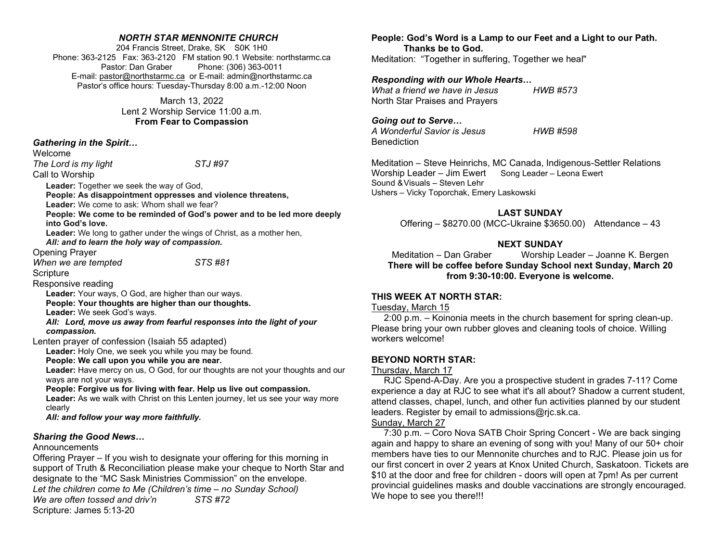#### NORTH STAR MENNONITE CHURCH

204 Francis Street, Drake, SK S0K 1H0 Phone: 363-2125 Fax: 363-2120 FM station 90.1 Website: northstarmc.ca Pastor: Dan Graber Phone: (306) 363-0011 E-mail: pastor@northstarmc.ca or E-mail: admin@northstarmc.ca Pastor's office hours: Tuesday-Thursday 8:00 a.m.-12:00 Noon

> March 13, 2022 Lent 2 Worship Service 11:00 a.m. From Fear to Compassion

Gathering in the Spirit…

Welcome

The Lord is my light STJ #97

Call to Worship

Leader: Together we seek the way of God,

People: As disappointment oppresses and violence threatens,

Leader: We come to ask: Whom shall we fear?

People: We come to be reminded of God's power and to be led more deeply into God's love.

Leader: We long to gather under the wings of Christ, as a mother hen, All: and to learn the holy way of compassion.

Opening Prayer

When we are tempted STS #81

**Scripture** 

Responsive reading

Leader: Your ways, O God, are higher than our ways.

People: Your thoughts are higher than our thoughts.

Leader: We seek God's ways.

All: Lord, move us away from fearful responses into the light of your compassion.

Lenten prayer of confession (Isaiah 55 adapted)

Leader: Holy One, we seek you while you may be found.

People: We call upon you while you are near.

Leader: Have mercy on us, O God, for our thoughts are not your thoughts and our ways are not your ways.

People: Forgive us for living with fear. Help us live out compassion.

Leader: As we walk with Christ on this Lenten journey, let us see your way more clearly

All: and follow your way more faithfully.

#### Sharing the Good News…

Announcements

Offering Prayer – If you wish to designate your offering for this morning in support of Truth & Reconciliation please make your cheque to North Star and designate to the "MC Sask Ministries Commission" on the envelope. Let the children come to Me (Children's time – no Sunday School)

We are often tossed and driv'n STS #72

Scripture: James 5:13-20

People: God's Word is a Lamp to our Feet and a Light to our Path. Thanks be to God. Meditation: "Together in suffering, Together we heal"

Responding with our Whole Hearts…

What a friend we have in Jesus HWB #573 North Star Praises and Prayers

Going out to Serve…

A Wonderful Savior is Jesus HWB #598 Benediction

Meditation – Steve Heinrichs, MC Canada, Indigenous-Settler Relations Worship Leader – Jim Ewert Song Leader – Leona Ewert Sound & Visuals – Steven Lehr Ushers – Vicky Toporchak, Emery Laskowski

## LAST SUNDAY

Offering – \$8270.00 (MCC-Ukraine \$3650.00) Attendance – 43

## NEXT SUNDAY

Meditation – Dan Graber Worship Leader – Joanne K. Bergen There will be coffee before Sunday School next Sunday, March 20 from 9:30-10:00. Everyone is welcome.

### THIS WEEK AT NORTH STAR:

#### Tuesday, March 15

 2:00 p.m. – Koinonia meets in the church basement for spring clean-up. Please bring your own rubber gloves and cleaning tools of choice. Willing workers welcome!

## BEYOND NORTH STAR:

#### Thursday, March 17

 RJC Spend-A-Day. Are you a prospective student in grades 7-11? Come experience a day at RJC to see what it's all about? Shadow a current student, attend classes, chapel, lunch, and other fun activities planned by our student leaders. Register by email to admissions@rjc.sk.ca.

#### Sunday, March 27

 7:30 p.m. – Coro Nova SATB Choir Spring Concert - We are back singing again and happy to share an evening of song with you! Many of our 50+ choir members have ties to our Mennonite churches and to RJC. Please join us for our first concert in over 2 years at Knox United Church, Saskatoon. Tickets are \$10 at the door and free for children - doors will open at 7pm! As per current provincial guidelines masks and double vaccinations are strongly encouraged. We hope to see you there!!!